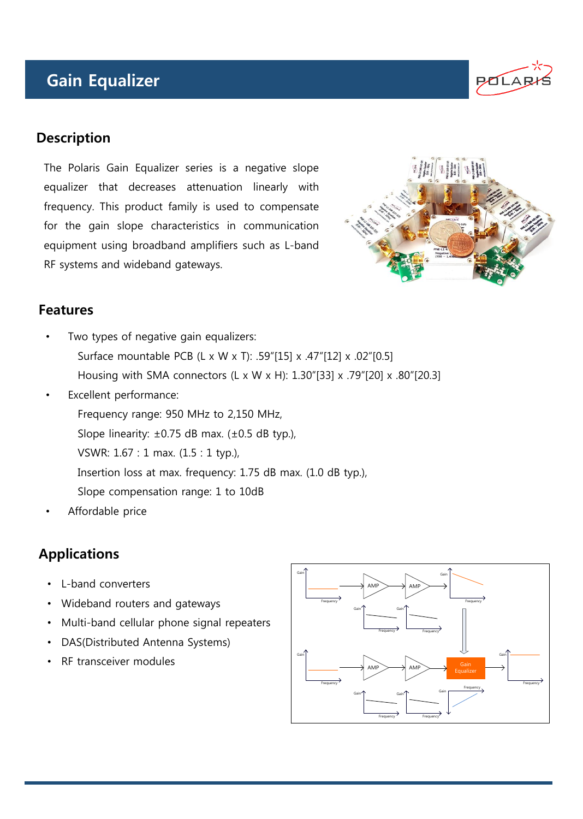# Gain Equalizer



The Polaris Gain Equalizer series is a negative slope equalizer that decreases attenuation linearly with frequency. This product family is used to compensate for the gain slope characteristics in communication equipment using broadband amplifiers such as L-band RF systems and wideband gateways.



**POLA** 

#### **Features**

- Two types of negative gain equalizers: Surface mountable PCB (L x W x T): .59"[15] x .47"[12] x .02"[0.5] Housing with SMA connectors (L x W x H): 1.30"[33] x .79"[20] x .80"[20.3]
- Excellent performance:

Frequency range: 950 MHz to 2,150 MHz,

Slope linearity:  $\pm 0.75$  dB max. ( $\pm 0.5$  dB typ.),

VSWR: 1.67 : 1 max. (1.5 : 1 typ.),

Insertion loss at max. frequency: 1.75 dB max. (1.0 dB typ.),

- Slope compensation range: 1 to 10dB
- Affordable price

## Applications

- L-band converters
- Wideband routers and gateways
- Multi-band cellular phone signal repeaters
- DAS(Distributed Antenna Systems)
- RF transceiver modules

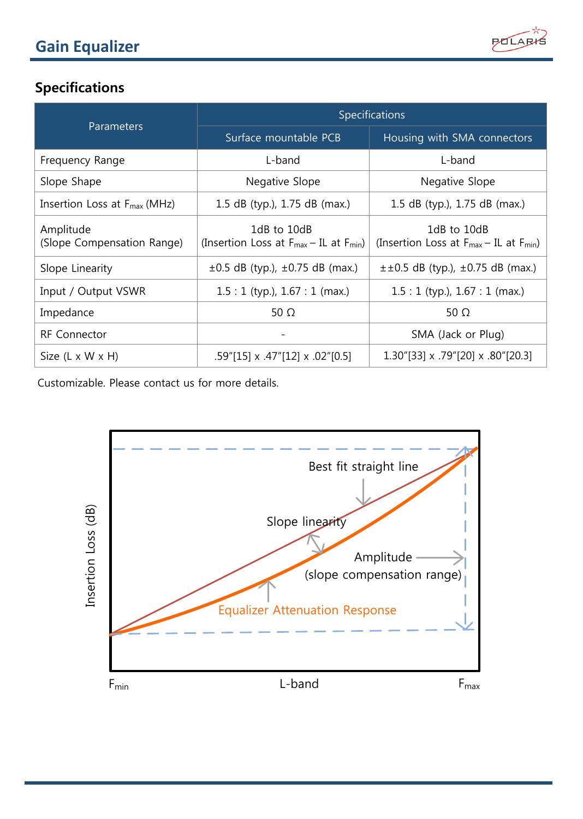

## Specifications

| Parameters                               | Specifications                                                  |                                                                               |
|------------------------------------------|-----------------------------------------------------------------|-------------------------------------------------------------------------------|
|                                          | Surface mountable PCB                                           | Housing with SMA connectors                                                   |
| Frequency Range                          | L-band                                                          | L-band                                                                        |
| Slope Shape                              | Negative Slope                                                  | Negative Slope                                                                |
| Insertion Loss at $F_{\text{max}}$ (MHz) | 1.5 dB (typ.), 1.75 dB (max.)                                   | 1.5 dB (typ.), $1.75$ dB (max.)                                               |
| Amplitude<br>(Slope Compensation Range)  | 1dB to 10dB<br>(Insertion Loss at $F_{max} - IL$ at $F_{min}$ ) | 1dB to 10dB<br>(Insertion Loss at $F_{\text{max}} - IL$ at $F_{\text{min}}$ ) |
| Slope Linearity                          | $\pm 0.5$ dB (typ.), $\pm 0.75$ dB (max.)                       | $\pm\pm0.5$ dB (typ.), $\pm0.75$ dB (max.)                                    |
| Input / Output VSWR                      | $1.5:1$ (typ.), $1.67:1$ (max.)                                 | $1.5:1$ (typ.), $1.67:1$ (max.)                                               |
| Impedance                                | 50 $\Omega$                                                     | 50 $\Omega$                                                                   |
| <b>RF</b> Connector                      | $\overline{\phantom{a}}$                                        | SMA (Jack or Plug)                                                            |
| Size $(L \times W \times H)$             | $.59$ "[15] x $.47$ "[12] x $.02$ "[0.5]                        | 1.30" [33] x .79" [20] x .80" [20.3]                                          |

Customizable. Please contact us for more details.

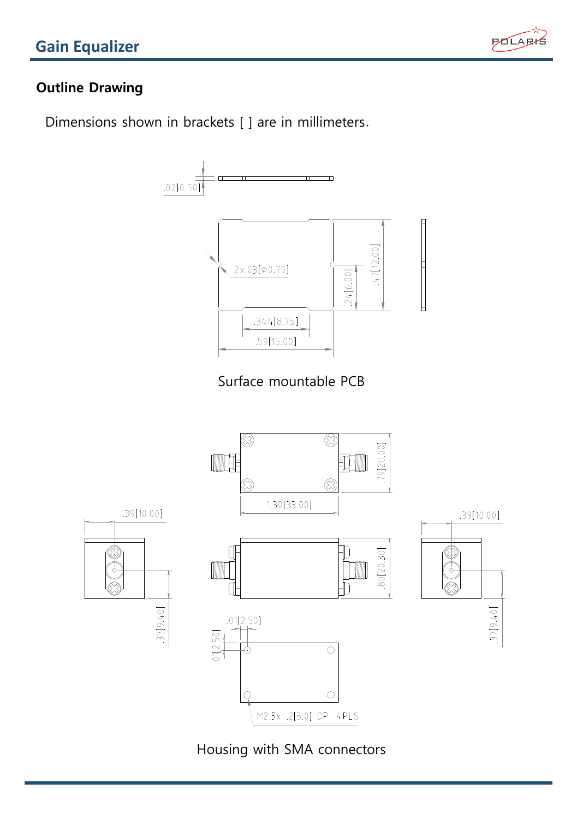

### Outline Drawing

Dimensions shown in brackets [ ] are in millimeters.



Housing with SMA connectors